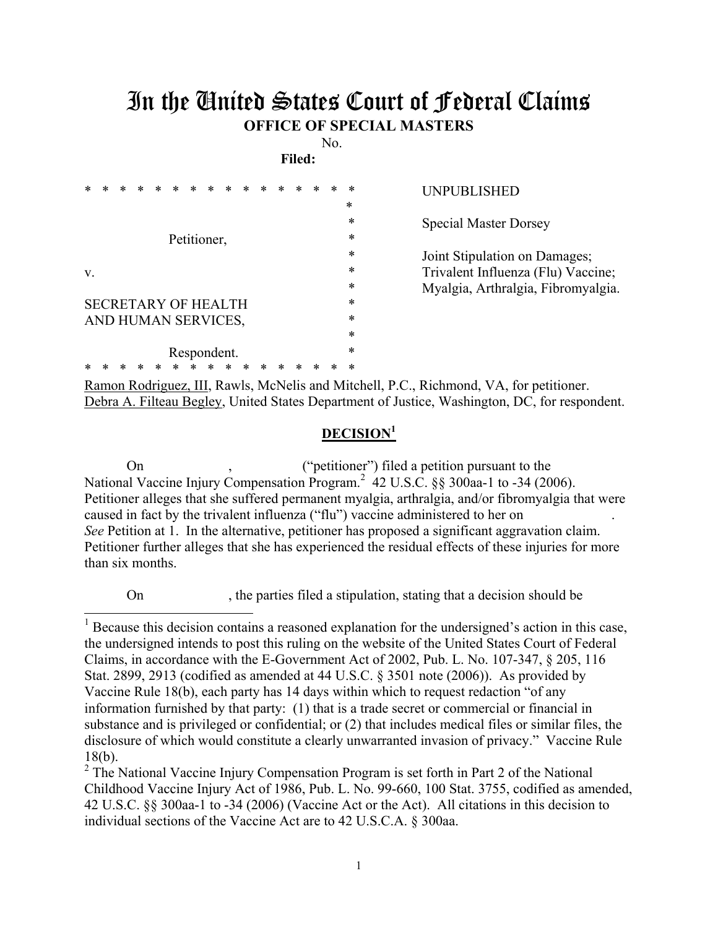## In the United States Court of Federal Claims **OFFICE OF SPECIAL MASTERS**

No. **Filed:** 

| *  |  |  | *                          | $\ast$      | * |  |  |  | *      | <b>UNPUBLISHED</b>                 |
|----|--|--|----------------------------|-------------|---|--|--|--|--------|------------------------------------|
|    |  |  |                            |             |   |  |  |  | $\ast$ |                                    |
|    |  |  |                            |             |   |  |  |  | $\ast$ | <b>Special Master Dorsey</b>       |
|    |  |  | Petitioner,                |             |   |  |  |  | *      |                                    |
|    |  |  |                            |             |   |  |  |  | *      | Joint Stipulation on Damages;      |
| V. |  |  |                            |             |   |  |  |  | *      | Trivalent Influenza (Flu) Vaccine; |
|    |  |  |                            |             |   |  |  |  | *      | Myalgia, Arthralgia, Fibromyalgia. |
|    |  |  | <b>SECRETARY OF HEALTH</b> |             |   |  |  |  | *      |                                    |
|    |  |  | AND HUMAN SERVICES,        |             |   |  |  |  | *      |                                    |
|    |  |  |                            |             |   |  |  |  | *      |                                    |
|    |  |  |                            | Respondent. |   |  |  |  | $\ast$ |                                    |
|    |  |  | ⋇                          |             | ∗ |  |  |  | *      |                                    |
|    |  |  |                            |             |   |  |  |  |        |                                    |

Ramon Rodriguez, III, Rawls, McNelis and Mitchell, P.C., Richmond, VA, for petitioner. Debra A. Filteau Begley, United States Department of Justice, Washington, DC, for respondent.

## **DECISION<sup>1</sup>**

 On , ("petitioner") filed a petition pursuant to the National Vaccine Injury Compensation Program.<sup>2</sup> 42 U.S.C. §§ 300aa-1 to -34 (2006). Petitioner alleges that she suffered permanent myalgia, arthralgia, and/or fibromyalgia that were caused in fact by the trivalent influenza ("flu") vaccine administered to her on . *See* Petition at 1. In the alternative, petitioner has proposed a significant aggravation claim. Petitioner further alleges that she has experienced the residual effects of these injuries for more than six months.

On , the parties filed a stipulation, stating that a decision should be

 $2$  The National Vaccine Injury Compensation Program is set forth in Part 2 of the National Childhood Vaccine Injury Act of 1986, Pub. L. No. 99-660, 100 Stat. 3755, codified as amended, 42 U.S.C. §§ 300aa-1 to -34 (2006) (Vaccine Act or the Act). All citations in this decision to individual sections of the Vaccine Act are to 42 U.S.C.A. § 300aa.

<sup>&</sup>lt;sup>1</sup> Because this decision contains a reasoned explanation for the undersigned's action in this case, the undersigned intends to post this ruling on the website of the United States Court of Federal Claims, in accordance with the E-Government Act of 2002, Pub. L. No. 107-347, § 205, 116 Stat. 2899, 2913 (codified as amended at 44 U.S.C. § 3501 note (2006)). As provided by Vaccine Rule 18(b), each party has 14 days within which to request redaction "of any information furnished by that party: (1) that is a trade secret or commercial or financial in substance and is privileged or confidential; or (2) that includes medical files or similar files, the disclosure of which would constitute a clearly unwarranted invasion of privacy." Vaccine Rule 18(b).